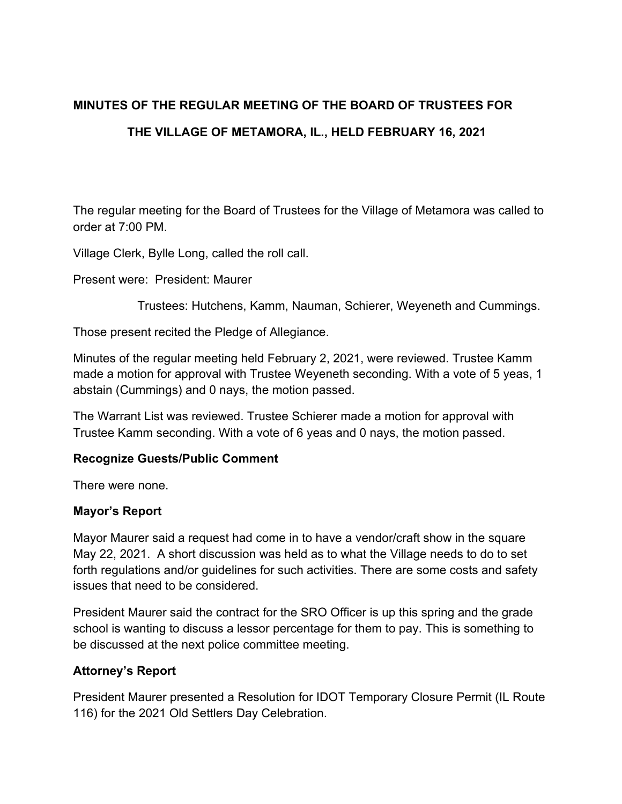# **MINUTES OF THE REGULAR MEETING OF THE BOARD OF TRUSTEES FOR THE VILLAGE OF METAMORA, IL., HELD FEBRUARY 16, 2021**

The regular meeting for the Board of Trustees for the Village of Metamora was called to order at 7:00 PM.

Village Clerk, Bylle Long, called the roll call.

Present were: President: Maurer

Trustees: Hutchens, Kamm, Nauman, Schierer, Weyeneth and Cummings.

Those present recited the Pledge of Allegiance.

Minutes of the regular meeting held February 2, 2021, were reviewed. Trustee Kamm made a motion for approval with Trustee Weyeneth seconding. With a vote of 5 yeas, 1 abstain (Cummings) and 0 nays, the motion passed.

The Warrant List was reviewed. Trustee Schierer made a motion for approval with Trustee Kamm seconding. With a vote of 6 yeas and 0 nays, the motion passed.

#### **Recognize Guests/Public Comment**

There were none.

#### **Mayor's Report**

Mayor Maurer said a request had come in to have a vendor/craft show in the square May 22, 2021. A short discussion was held as to what the Village needs to do to set forth regulations and/or guidelines for such activities. There are some costs and safety issues that need to be considered.

President Maurer said the contract for the SRO Officer is up this spring and the grade school is wanting to discuss a lessor percentage for them to pay. This is something to be discussed at the next police committee meeting.

#### **Attorney's Report**

President Maurer presented a Resolution for IDOT Temporary Closure Permit (IL Route 116) for the 2021 Old Settlers Day Celebration.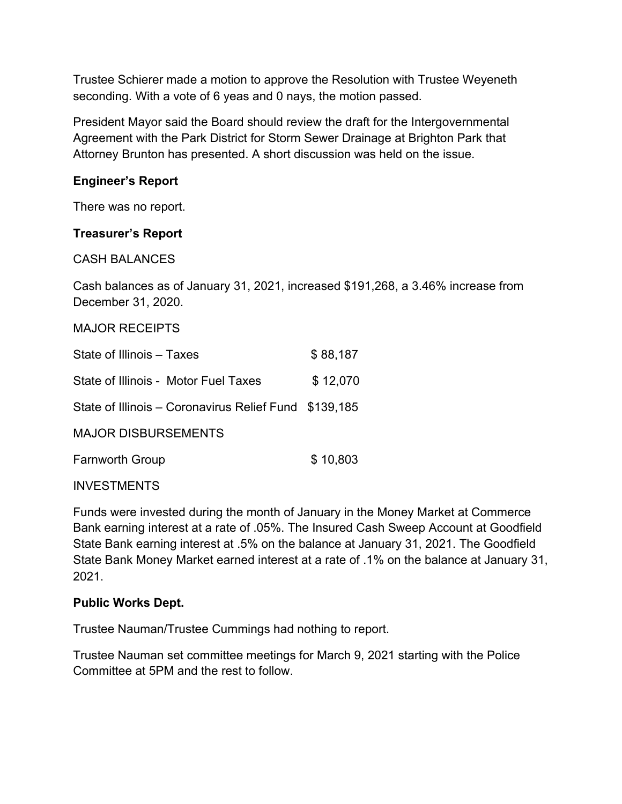Trustee Schierer made a motion to approve the Resolution with Trustee Weyeneth seconding. With a vote of 6 yeas and 0 nays, the motion passed.

President Mayor said the Board should review the draft for the Intergovernmental Agreement with the Park District for Storm Sewer Drainage at Brighton Park that Attorney Brunton has presented. A short discussion was held on the issue.

# **Engineer's Report**

There was no report.

# **Treasurer's Report**

CASH BALANCES

Cash balances as of January 31, 2021, increased \$191,268, a 3.46% increase from December 31, 2020.

## MAJOR RECEIPTS

| State of Illinois – Taxes                             | \$88,187 |
|-------------------------------------------------------|----------|
| State of Illinois - Motor Fuel Taxes                  | \$12,070 |
| State of Illinois – Coronavirus Relief Fund \$139,185 |          |
| <b>MAJOR DISBURSEMENTS</b>                            |          |
| <b>Farnworth Group</b>                                | \$10,803 |

**INVESTMENTS** 

Funds were invested during the month of January in the Money Market at Commerce Bank earning interest at a rate of .05%. The Insured Cash Sweep Account at Goodfield State Bank earning interest at .5% on the balance at January 31, 2021. The Goodfield State Bank Money Market earned interest at a rate of .1% on the balance at January 31, 2021.

# **Public Works Dept.**

Trustee Nauman/Trustee Cummings had nothing to report.

Trustee Nauman set committee meetings for March 9, 2021 starting with the Police Committee at 5PM and the rest to follow.